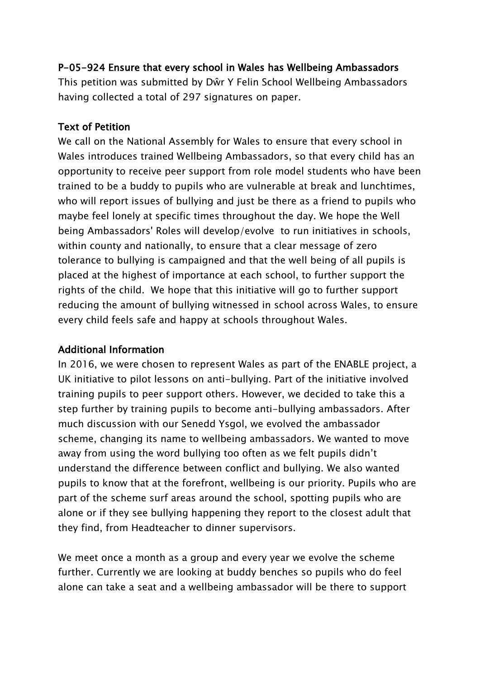## P-05-924 Ensure that every school in Wales has Wellbeing Ambassadors

This petition was submitted by Dŵr Y Felin School Wellbeing Ambassadors having collected a total of 297 signatures on paper.

## Text of Petition

We call on the National Assembly for Wales to ensure that every school in Wales introduces trained Wellbeing Ambassadors, so that every child has an opportunity to receive peer support from role model students who have been trained to be a buddy to pupils who are vulnerable at break and lunchtimes, who will report issues of bullying and just be there as a friend to pupils who maybe feel lonely at specific times throughout the day. We hope the Well being Ambassadors' Roles will develop/evolve to run initiatives in schools, within county and nationally, to ensure that a clear message of zero tolerance to bullying is campaigned and that the well being of all pupils is placed at the highest of importance at each school, to further support the rights of the child. We hope that this initiative will go to further support reducing the amount of bullying witnessed in school across Wales, to ensure every child feels safe and happy at schools throughout Wales.

## Additional Information

In 2016, we were chosen to represent Wales as part of the ENABLE project, a UK initiative to pilot lessons on anti-bullying. Part of the initiative involved training pupils to peer support others. However, we decided to take this a step further by training pupils to become anti-bullying ambassadors. After much discussion with our Senedd Ysgol, we evolved the ambassador scheme, changing its name to wellbeing ambassadors. We wanted to move away from using the word bullying too often as we felt pupils didn't understand the difference between conflict and bullying. We also wanted pupils to know that at the forefront, wellbeing is our priority. Pupils who are part of the scheme surf areas around the school, spotting pupils who are alone or if they see bullying happening they report to the closest adult that they find, from Headteacher to dinner supervisors.

We meet once a month as a group and every year we evolve the scheme further. Currently we are looking at buddy benches so pupils who do feel alone can take a seat and a wellbeing ambassador will be there to support